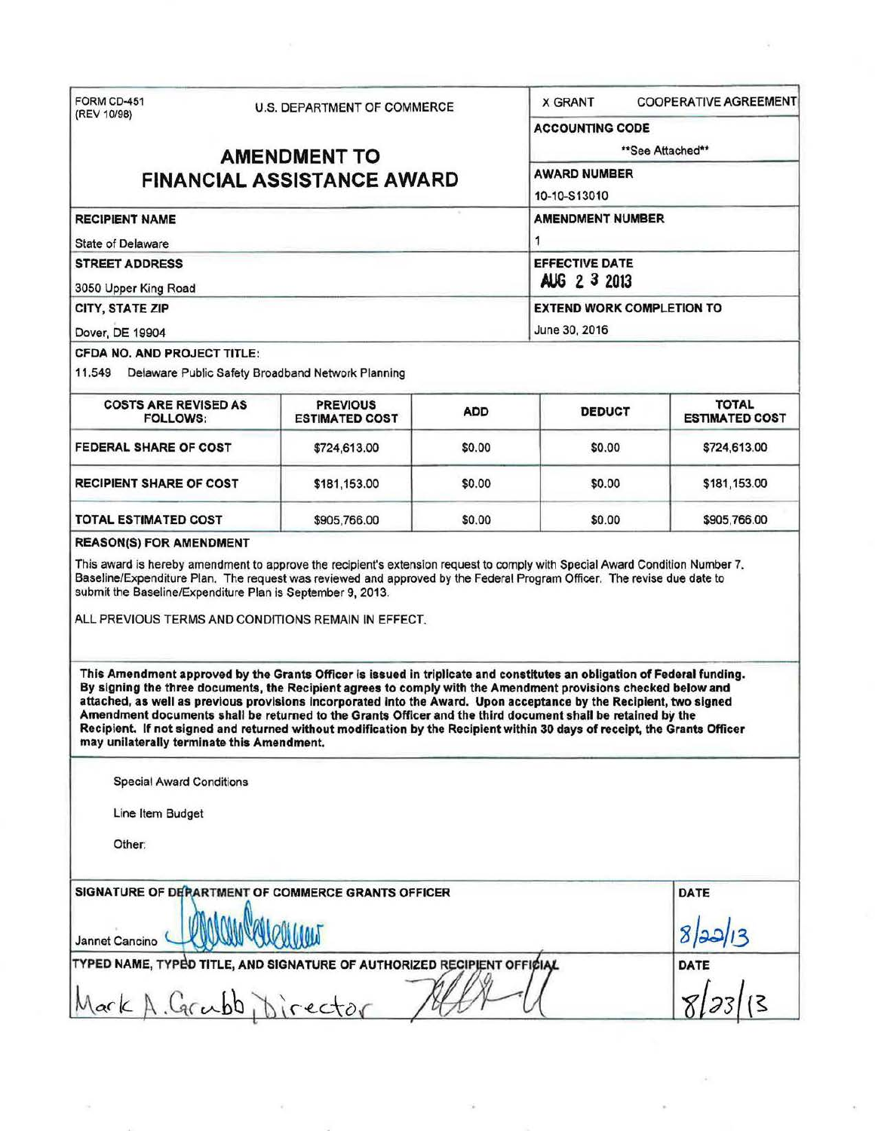| FORM CD-451<br>(REV 10/98)                                                                                                                                                                                                                                                                                                                                                                                                                                                                                                                                                                                                                                | <b>U.S. DEPARTMENT OF COMMERCE</b>                |                              | <b>X GRANT</b><br><b>COOPERATIVE AGREEMENT</b>    |                                       |
|-----------------------------------------------------------------------------------------------------------------------------------------------------------------------------------------------------------------------------------------------------------------------------------------------------------------------------------------------------------------------------------------------------------------------------------------------------------------------------------------------------------------------------------------------------------------------------------------------------------------------------------------------------------|---------------------------------------------------|------------------------------|---------------------------------------------------|---------------------------------------|
|                                                                                                                                                                                                                                                                                                                                                                                                                                                                                                                                                                                                                                                           |                                                   |                              | <b>ACCOUNTING CODE</b>                            |                                       |
| <b>AMENDMENT TO</b><br><b>FINANCIAL ASSISTANCE AWARD</b>                                                                                                                                                                                                                                                                                                                                                                                                                                                                                                                                                                                                  |                                                   |                              | **See Attached**<br><b>AWARD NUMBER</b>           |                                       |
|                                                                                                                                                                                                                                                                                                                                                                                                                                                                                                                                                                                                                                                           |                                                   |                              |                                                   |                                       |
| <b>RECIPIENT NAME</b>                                                                                                                                                                                                                                                                                                                                                                                                                                                                                                                                                                                                                                     |                                                   | <b>AMENDMENT NUMBER</b><br>1 |                                                   |                                       |
| <b>State of Delaware</b>                                                                                                                                                                                                                                                                                                                                                                                                                                                                                                                                                                                                                                  |                                                   |                              |                                                   |                                       |
| <b>STREET ADDRESS</b><br>3050 Upper King Road                                                                                                                                                                                                                                                                                                                                                                                                                                                                                                                                                                                                             | <b>EFFECTIVE DATE</b><br>AUG 2 3 2013             |                              |                                                   |                                       |
| CITY, STATE ZIP                                                                                                                                                                                                                                                                                                                                                                                                                                                                                                                                                                                                                                           |                                                   |                              | <b>EXTEND WORK COMPLETION TO</b><br>June 30, 2016 |                                       |
| Dover, DE 19904                                                                                                                                                                                                                                                                                                                                                                                                                                                                                                                                                                                                                                           |                                                   |                              |                                                   |                                       |
| CFDA NO. AND PROJECT TITLE:                                                                                                                                                                                                                                                                                                                                                                                                                                                                                                                                                                                                                               |                                                   |                              |                                                   |                                       |
| 11.549                                                                                                                                                                                                                                                                                                                                                                                                                                                                                                                                                                                                                                                    | Delaware Public Safety Broadband Network Planning |                              |                                                   |                                       |
| <b>COSTS ARE REVISED AS</b><br><b>FOLLOWS:</b>                                                                                                                                                                                                                                                                                                                                                                                                                                                                                                                                                                                                            | <b>PREVIOUS</b><br><b>ESTIMATED COST</b>          | <b>ADD</b>                   | <b>DEDUCT</b>                                     | <b>TOTAL</b><br><b>ESTIMATED COST</b> |
| <b>FEDERAL SHARE OF COST</b>                                                                                                                                                                                                                                                                                                                                                                                                                                                                                                                                                                                                                              | \$724,613.00                                      | \$0.00                       | \$0.00                                            | \$724,613.00                          |
| <b>RECIPIENT SHARE OF COST</b>                                                                                                                                                                                                                                                                                                                                                                                                                                                                                                                                                                                                                            | \$181,153.00                                      | \$0.00                       | \$0.00                                            | \$181,153.00                          |
| TOTAL ESTIMATED COST                                                                                                                                                                                                                                                                                                                                                                                                                                                                                                                                                                                                                                      | \$905,766.00                                      | \$0.00                       | \$0.00                                            | \$905,766.00                          |
| <b>REASON(S) FOR AMENDMENT</b>                                                                                                                                                                                                                                                                                                                                                                                                                                                                                                                                                                                                                            |                                                   |                              |                                                   |                                       |
| This Amendment approved by the Grants Officer is issued in triplicate and constitutes an obligation of Federal funding.<br>By signing the three documents, the Recipient agrees to comply with the Amendment provisions checked below and<br>attached, as well as previous provisions incorporated into the Award. Upon acceptance by the Recipient, two signed<br>Amendment documents shall be returned to the Grants Officer and the third document shall be retained by the<br>Recipient. If not signed and returned without modification by the Recipient within 30 days of receipt, the Grants Officer<br>may unilaterally terminate this Amendment. |                                                   |                              |                                                   |                                       |
| <b>Special Award Conditions</b>                                                                                                                                                                                                                                                                                                                                                                                                                                                                                                                                                                                                                           |                                                   |                              |                                                   |                                       |
| Line Item Budget                                                                                                                                                                                                                                                                                                                                                                                                                                                                                                                                                                                                                                          |                                                   |                              |                                                   |                                       |
| Other:                                                                                                                                                                                                                                                                                                                                                                                                                                                                                                                                                                                                                                                    |                                                   |                              |                                                   |                                       |
|                                                                                                                                                                                                                                                                                                                                                                                                                                                                                                                                                                                                                                                           |                                                   |                              |                                                   |                                       |
| SIGNATURE OF DERARTMENT OF COMMERCE GRANTS OFFICER                                                                                                                                                                                                                                                                                                                                                                                                                                                                                                                                                                                                        |                                                   |                              |                                                   | <b>DATE</b>                           |
|                                                                                                                                                                                                                                                                                                                                                                                                                                                                                                                                                                                                                                                           |                                                   |                              |                                                   | 8 22 13                               |
| Jannet Cancino<br>TYPED NAME, TYPED TITLE, AND SIGNATURE OF AUTHORIZED RECIPIENT OFFICIAL                                                                                                                                                                                                                                                                                                                                                                                                                                                                                                                                                                 |                                                   |                              |                                                   | <b>DATE</b>                           |